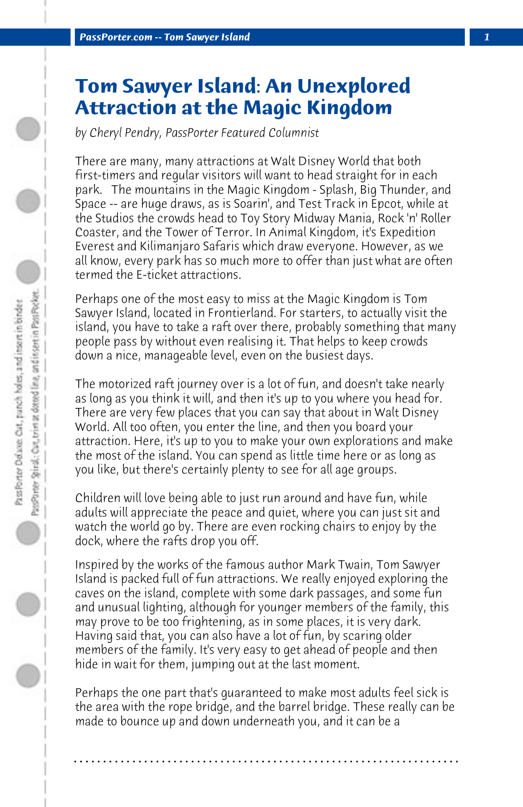## **Tom Sawyer Island: An Unexplored Attraction at the Magic Kingdom**

*by Cheryl Pendry, PassPorter Featured Columnist*

There are many, many attractions at Walt Disney World that both first-timers and regular visitors will want to head straight for in each park. The mountains in the Magic Kingdom - Splash, Big Thunder, and Space -- are huge draws, as is Soarin', and Test Track in Epcot, while at the Studios the crowds head to Toy Story Midway Mania, Rock 'n' Roller Coaster, and the Tower of Terror. In Animal Kingdom, it's Expedition Everest and Kilimanjaro Safaris which draw everyone. However, as we all know, every park has so much more to offer than just what are often termed the E-ticket attractions.

Perhaps one of the most easy to miss at the Magic Kingdom is Tom Sawyer Island, located in Frontierland. For starters, to actually visit the island, you have to take a raft over there, probably something that many people pass by without even realising it. That helps to keep crowds down a nice, manageable level, even on the busiest days.

The motorized raft journey over is a lot of fun, and doesn't take nearly as long as you think it will, and then it's up to you where you head for. There are very few places that you can say that about in Walt Disney World. All too often, you enter the line, and then you board your attraction. Here, it's up to you to make your own explorations and make the most of the island. You can spend as little time here or as long as you like, but there's certainly plenty to see for all age groups.

Children will love being able to just run around and have fun, while adults will appreciate the peace and quiet, where you can just sit and watch the world go by. There are even rocking chairs to enjoy by the dock, where the rafts drop you off.

Inspired by the works of the famous author Mark Twain, Tom Sawyer Island is packed full of fun attractions. We really enjoyed exploring the caves on the island, complete with some dark passages, and some fun and unusual lighting, although for younger members of the family, this may prove to be too frightening, as in some places, it is very dark. Having said that, you can also have a lot of fun, by scaring older members of the family. It's very easy to get ahead of people and then hide in wait for them, jumping out at the last moment.

Perhaps the one part that's guaranteed to make most adults feel sick is the area with the rope bridge, and the barrel bridge. These really can be made to bounce up and down underneath you, and it can be a

**. . . . . . . . . . . . . . . . . . . . . . . . . . . . . . . . . . . . . . . . . . . . . . . . . . . . . . . . . . . . . . . . . .**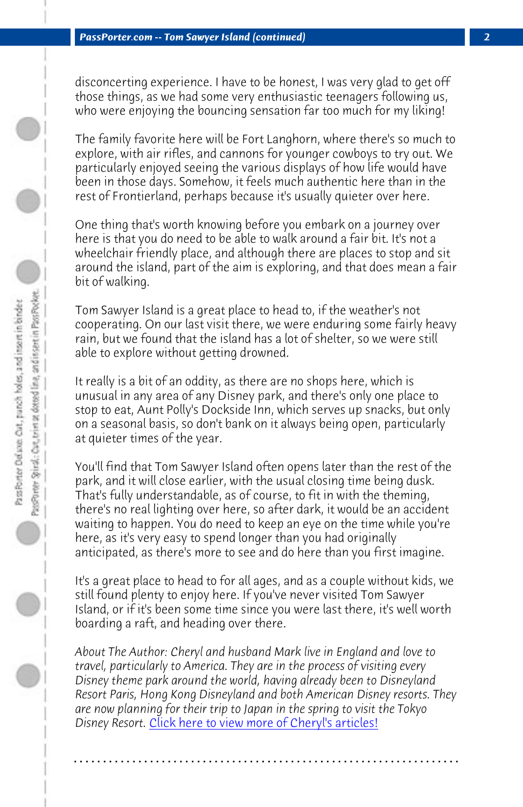disconcerting experience. I have to be honest, I was very glad to get off those things, as we had some very enthusiastic teenagers following us, who were enjoying the bouncing sensation far too much for my liking!

The family favorite here will be Fort Langhorn, where there's so much to explore, with air rifles, and cannons for younger cowboys to try out. We particularly enjoyed seeing the various displays of how life would have been in those days. Somehow, it feels much authentic here than in the rest of Frontierland, perhaps because it's usually quieter over here.

One thing that's worth knowing before you embark on a journey over here is that you do need to be able to walk around a fair bit. It's not a wheelchair friendly place, and although there are places to stop and sit around the island, part of the aim is exploring, and that does mean a fair bit of walking.

Tom Sawyer Island is a great place to head to, if the weather's not cooperating. On our last visit there, we were enduring some fairly heavy rain, but we found that the island has a lot of shelter, so we were still able to explore without getting drowned.

It really is a bit of an oddity, as there are no shops here, which is unusual in any area of any Disney park, and there's only one place to stop to eat, Aunt Polly's Dockside Inn, which serves up snacks, but only on a seasonal basis, so don't bank on it always being open, particularly at quieter times of the year.

You'll find that Tom Sawyer Island often opens later than the rest of the park, and it w[ill close earlier, with the usual closing time b](http://www.passporter.com/articles/cheryl-pendry-featured-columnist.asp)eing dusk. That's fully understandable, as of course, to fit in with the theming, there's no real lighting over here, so after dark, it would be an accident waiting to happen. You do need to keep an eye on the time while you're here, as it's very easy to spend longer than you had originally anticipated, as there's more to see and do here than you first imagine.

It's a great place to head to for all ages, and as a couple without kids, we still found plenty to enjoy here. If you've never visited Tom Sawyer Island, or if it's been some time since you were last there, it's well worth boarding a raft, and heading over there.

*About The Author: Cheryl and husband Mark live in England and love to travel, particularly to America. They are in the process of visiting every Disney theme park around the world, having already been to Disneyland Resort Paris, Hong Kong Disneyland and both American Disney resorts. They are now planning for their trip to Japan in the spring to visit the Tokyo Disney Resort.* Click here to view more of Cheryl's articles!

**. . . . . . . . . . . . . . . . . . . . . . . . . . . . . . . . . . . . . . . . . . . . . . . . . . . . . . . . . . . . . . . . . .**